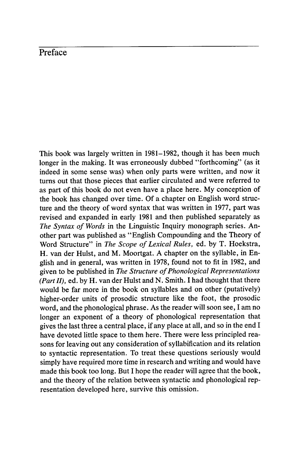## Preface

This book was largely written in 1981- 1982, though it has been much longer in the making. It was erroneously dubbed "forthcoming" (as it indeed in some sense was) when only parts were written, and now it turns out that those pieces that earlier circulated and were referred to as part of this book do not even have a place here. My conception of the book has changed over time. Of a chapter on English word structure and the theory of word syntax that was written in 1977, part was revised and expanded in early 1981 and then published separately as The Syntax of Words in the Linguistic Inquiry monograph series. Another part was published as "English Compounding and the Theory of Word Structure" in The Scope of Lexical Rules, ed. by T. Hoekstra, H. van der Hulst, and M. Moortgat. A chapter on the syllable, in English and in general, was written in 1978, found not to fit in 1982, and given to be published in The Structure of Phonological Representations (Part II), ed. by H. van der Hulst and N. Smith. I had thought that there would be far more in the book on syllables and on other (putatively) higher-order units of prosodic structure like the foot, the prosodic word, and the phonological phrase. As the reader will soon see, I am no longer an exponent of a theory of phonological representation that gives the last three a central place, if any place at all, and so in the end I have devoted little space to them here. There were less principled reasons for leaving out any consideration of syllabification and its relation to syntactic representation. To treat these questions seriously would simply have required more time in research and writing and would have made this book too long. But I hope the reader will agree that the book, and the theory of the relation between syntactic and phonological representation developed here, survive this omission.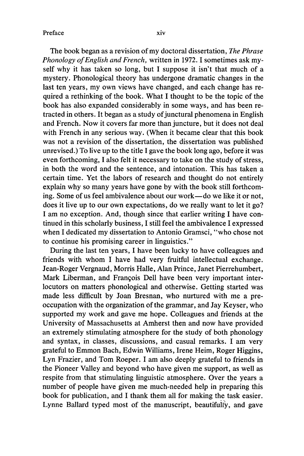The book began as a revision of my doctoral dissertation, The Phrase Phonology of English and French, written in 1972. I sometimes ask myself why it has taken so long, but I suppose it isn't that much of a mystery . Phonological theory has undergone dramatic changes in the last ten years, my own views have changed, and each change has required a rethinking of the book. What I thought to be the topic of the book has also expanded considerably in some ways, and has been retracted in others. It began as a study of junctural phenomena in English and French. Now it covers far more than juncture, but it does not deal with French in any serious way . (When it became clear that this book was not a revision of the dissertation, the dissertation was published unrevised.) To live up to the title I gave the book long ago, before it was even forthcoming, I also felt it necessary to take on the study of stress, in both the word and the sentence, and intonation. This has taken a certain time. Yet the labors of research and thought do not entirely explain why so many years have gone by with the book still forthcoming. Some of us feel ambivalence about our work- do we like it or not, does it live up to our own expectations, do we really want to let it go? I am no exception. And, though since that earlier writing I have continued in this scholarly business, I still feel the ambivalence I expressed when I dedicated my dissertation to Antonio Gramsci, " who chose not to continue his promising career in linguistics ."

During the last ten years, I have been lucky to have colleagues and friends with whom I have had very fruitful intellectual exchange. Jean-Roger Vergnaud, Morris Halle, Alan Prince, Janet Pierrehumbert, Mark Liberman, and François Dell have been very important interlocutors on matters phonological and otherwise. Getting started was made less difficult by Joan Bresnan, who nurtured with me a preoccupation with the organization of the grammar, and Jay Keyser, who supported my work and gave me hope. Colleagues and friends at the University of Massachusetts at Amherst then and now have provided an extremely stimulating atmosphere for the study of both phonology and syntax, in classes, discussions, and casual remarks. I am very grateful to Emmon Bach, Edwin Williams, Irene Heim, Roger Higgins, Lyn Frazier, and Tom Roeper. I am also deeply grateful to friends in the Pioneer Valley and beyond who have given me support, as well as respite from that stimulating linguistic atmosphere. Over the years a number of people have given me much-needed help in preparing this book for publication, and I thank them all for making the task easier. Lynne Ballard typed most of the manuscript, beautifully, and gave